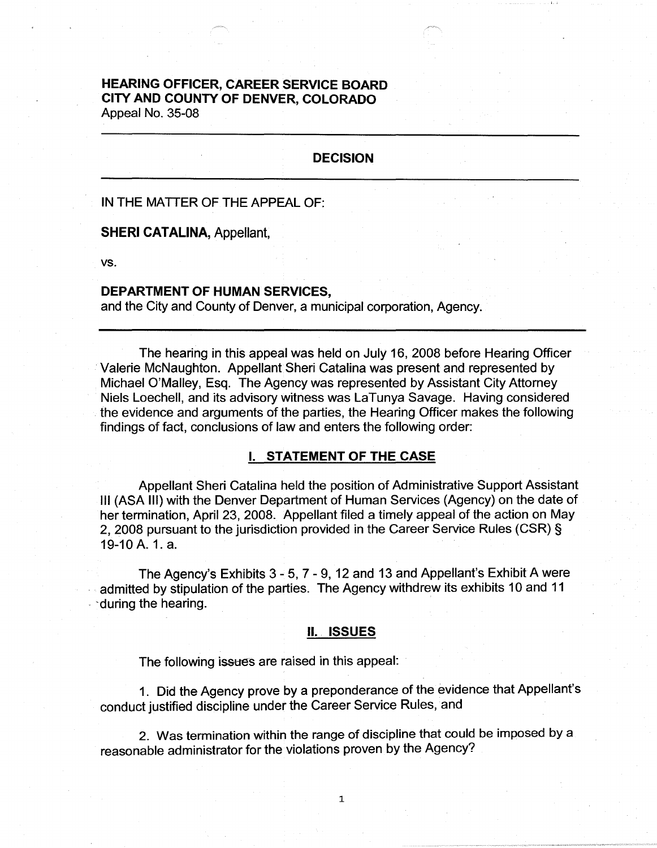# **HEARING OFFICER, CAREER SERVICE BOARD CITY AND COUNTY OF DENVER, COLORADO**

Appeal No. 35-08

# **DECISION**

IN THE MATTER OF THE APPEAL OF:

**SHERI CATALINA,** Appellant,

vs.

#### **DEPARTMENT OF HUMAN SERVICES,**

and the City and County of Denver, a municipal corporation, Agency.

The hearing in this appeal was held on July 16, 2008 before Hearing Officer Valerie McNaughton. Appellant Sheri Catalina was present and represented by Michael O'Malley, Esq. The Agency was represented by Assistant City Attorney Niels Loechell, and its advisory witness was LaTunya Savage. Having considered the evidence and arguments of the parties, the Hearing Officer makes the following findings of fact, conclusions of law and enters the following order:

## I. **STATEMENT OF THE CASE**

Appellant Sheri Catalina held the position of Administrative Support Assistant Ill (ASA Ill) with the Denver Department of Human Services (Agency) on the date of her termination, April 23, 2008. Appellant filed a timely appeal of the action on May 2, 2008 pursuant to the jurisdiction provided in the Career Service Rules (CSR) § 19-10 A. 1. a.

The Agency's Exhibits 3 - 5, 7 - 9, 12 and 13 and Appellant's Exhibit A were admitted by stipulation of the parties. The Agency withdrew its exhibits 10 and 11 • -during the hearing.

#### II .. **ISSUES**

The following issues are raised in this appeal:

1. Did the Agency prove by a preponderance of the evidence that Appellant's conduct justified discipline under the Career Service Rules, and

2. Was termination within the range of discipline that could be imposed by a reasonable administrator for the violations proven by the Agency?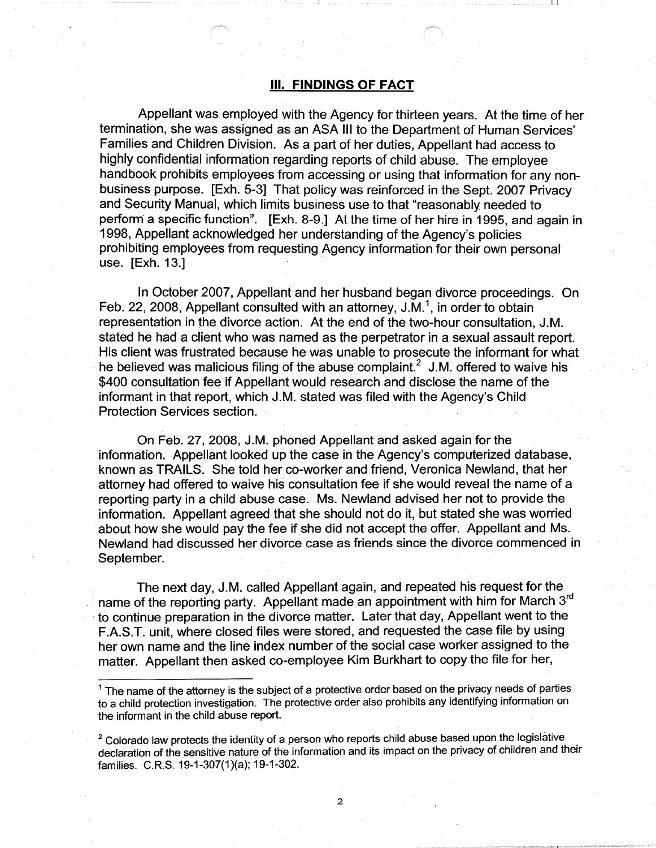#### Ill. **FINDINGS OF FACT**

 $\Box$ 

Appellant was employed with the Agency for thirteen years. At the time of her termination, she was assigned as an ASA Ill to the Department of Human Services' Families and Children Division. As a part of her duties, Appellant had access to highly confidential information regarding reports of child abuse. The employee handbook prohibits employees from accessing or using that information for any nonbusiness purpose. [Exh. 5-3] That policy was reinforced in the Sept. 2007 Privacy and Security Manual, which limits business use to that "reasonably needed to perform a specific function". [Exh. 8-9.] At the time of her hire in 1995, and again in 1998, Appellant acknowledged her understanding of the Agency's policies prohibiting employees from requesting Agency information for their own personal use. [Exh. 13.]

In October 2007, Appellant and her husband began divorce proceedings. On Feb. 22, 2008, Appellant consulted with an attorney, J.M.<sup>1</sup>, in order to obtain representation in the divorce action. At the end of the two-hour consultation, J.M. stated he had a client who was named as the perpetrator in a sexual assault report. His client was frustrated because he was unable to prosecute the informant for what he believed was malicious filing of the abuse complaint.<sup>2</sup> J.M. offered to waive his \$400 consultation fee if Appellant would research and disclose the name of the informant in that report, which J.M. stated was filed with the Agency's Child Protection Services section.

On Feb. 27, 2008, J.M. phoned Appellant and asked again for the information. Appellant looked up the case in the Agency's computerized database, known as TRAILS. She told her co-worker and friend, Veronica Newland, that her attorney had offered to waive his consultation fee if she would reveal the name of a reporting party in a child abuse case. Ms. Newland advised her not to provide the information. Appellant agreed that she should not do it, but stated she was worried about how she would pay the fee if she did not accept the offer. Appellant and Ms. Newland had discussed her divorce case as friends since the divorce commenced in September.

The next day, J.M. called Appellant again, and repeated his request for the name of the reporting party. Appellant made an appointment with him for March 3<sup>rd</sup> to continue preparation in the divorce matter. Later that day, Appellant went to the F.A.S.T. unit, where closed files were stored, and requested the case file by using her own name and the line index number of the social case worker assigned to the matter. Appellant then asked co-employee Kim Burkhart to copy the file for her,

 $1$  The name of the attorney is the subject of a protective order based on the privacy needs of parties to a child protection investigation. The protective order also prohibits any identifying information on the informant in the child abuse report.

 $2$  Colorado law protects the identity of a person who reports child abuse based upon the legislative declaration of the sensitive nature of the information and its impact on the privacy of children and their families. C.R.S. 19-1-307(1)(a); 19-1-302.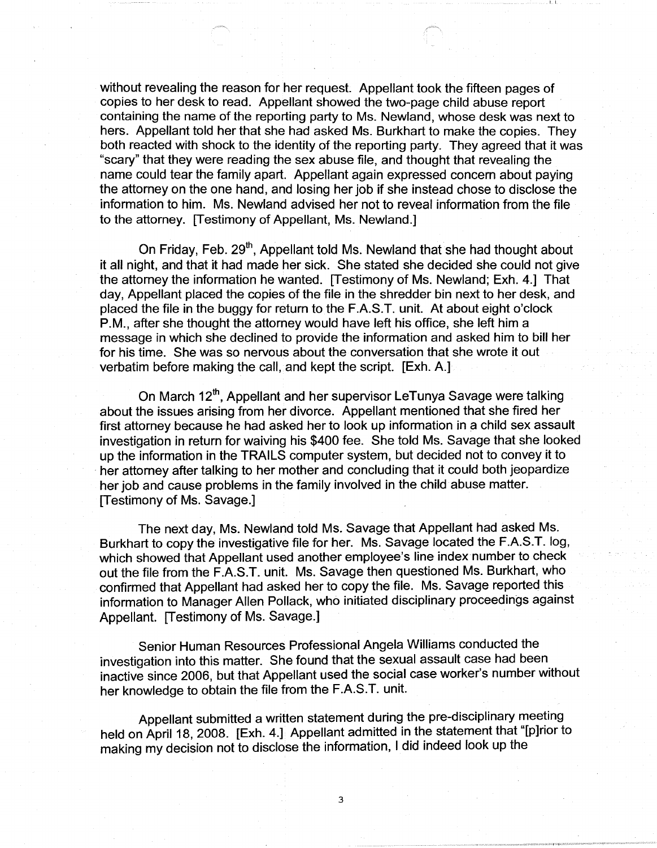without revealing the reason for her request. Appellant took the fifteen pages of copies to her desk to read. Appellant showed the two-page child abuse report containing the name of the reporting party to Ms. Newland, whose desk was next to hers. Appellant told her that she had asked Ms. Burkhart to make the copies. They both reacted with shock to the identity of the reporting party. They agreed that it was "scary" that they were reading the sex abuse file, and thought that revealing the name could tear the family apart. Appellant again expressed concern about paying the attorney on the one hand, and losing her job if she instead chose to disclose the information to him. Ms. Newland advised her not to reveal information from the file to the attorney. [Testimony of Appellant, Ms. Newland.]

 $\mathbf{I} \cup \mathbf{I}$ 

On Friday, Feb. 29<sup>th</sup>, Appellant told Ms. Newland that she had thought about it all night, and that it had made her sick. She stated she decided she could not give the attorney the information he wanted. [Testimony of Ms. Newland; Exh. 4.] That day, Appellant placed the copies of the file in the shredder bin next to her desk, and placed the file in the buggy for return to the F.A.S.T. unit. At about eight o'clock P.M., after she thought the attorney would have left his office, she left him a message in which she declined to provide the information and asked him to bill her for his time. She was so nervous about the conversation that she wrote it out verbatim before making the call, and kept the script. [Exh. A.]

On March 12<sup>th</sup>, Appellant and her supervisor LeTunya Savage were talking about the issues arising from her divorce. Appellant mentioned that she fired her first attorney because he had asked her to look up information in a child sex assault investigation in return for waiving his \$400 fee. She told Ms. Savage that she looked up the information in the TRAILS computer system, but decided not to convey it to her attorney after talking to her mother and concluding that it could both jeopardize her job and cause problems in the family involved in the child abuse matter. [Testimony of Ms. Savage.]

The next day, Ms. Newland told Ms. Savage that Appellant had asked Ms. Burkhart to copy the investigative file for her. Ms. Savage located the F.A.S.T. log, which showed that Appellant used another employee's line index number to check out the file from the F.A.S.T. unit. Ms. Savage then questioned Ms. Burkhart, who confirmed that Appellant had asked her to copy the file. Ms. Savage reported this information to Manager Allen Pollack, who initiated disciplinary proceedings against Appellant. [Testimony of Ms. Savage.]

Senior Human Resources Professional Angela Williams conducted the investigation into this matter. She found that the sexual assault case had been inactive since 2006, but that Appellant used the social case worker's number without her knowledge to obtain the file from the F.A.S.T. unit.

Appellant submitted a written statement during the pre-disciplinary meeting held on April 18, 2008. [Exh. 4.] Appellant admitted in the statement that "[p]rior to making my decision not to disclose the information, I did indeed look up the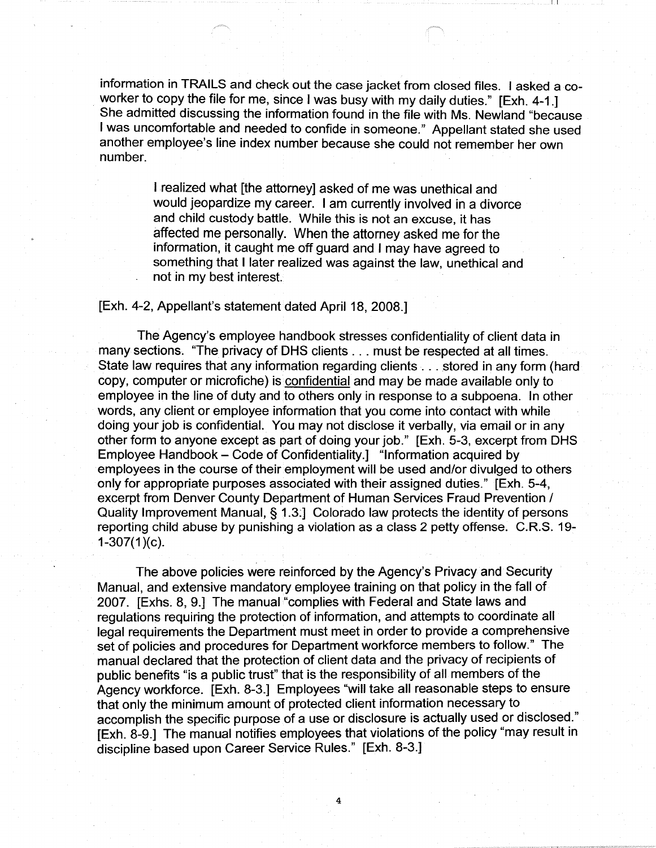information in TRAILS and check out the case jacket from closed files. I asked a coworker to copy the file for me, since I was busy with my daily duties." [Exh. 4-1.] She admitted discussing the information found in the file with Ms. Newland "because I was uncomfortable and needed to confide in someone." Appellant stated she used another employee's line index number because she could not remember her own number.

 $\mathbf{L}$ 

I realized what [the attorney] asked of me was unethical and would jeopardize my career. I am currently involved in a divorce and child custody battle. While this is not an excuse, it has affected me personally. When the attorney asked me for the information, it caught me off guard and I may have agreed to something that I later realized was against the law, unethical and not in my best interest.

# [Exh. 4-2, Appellant's statement dated April 18, 2008.]

The Agency's employee handbook stresses confidentiality of client data in many sections. 'The privacy of OHS clients ... must be respected at all times. State law requires that any information regarding clients ... stored in any form (hard copy, computer or microfiche) is confidential and may be made available only to employee in the line of duty and to others only in response to a subpoena. In other words, any client or employee information that you come into contact with while doing your job is confidential. You may not disclose it verbally, via email or in any other form to anyone except as part of doing your job." [Exh. 5-3, excerpt from OHS Employee Handbook - Code of Confidentiality.] "Information acquired by employees in the course of their employment will be used and/or divulged to others only for appropriate purposes associated with their assigned duties." [Exh. 5-4, excerpt from Denver County Department of Human Services Fraud Prevention / Quality Improvement Manual, § 1.3:] Colorado law protects the identity of persons reporting child abuse by punishing a violation as a class 2 petty offense. C.R.S. 19-  $1-307(1)(c)$ .

The above policies were reinforced by the Agency's Privacy and Security Manual, and extensive mandatory employee training on that policy in the fall of 2007. [Exhs. 8, 9.] The manual "complies with Federal and State laws and regulations requiring the protection of information, and attempts to coordinate all legal requirements the Department must meet in order to provide a comprehensive set of policies and procedures for Department workforce members to follow." The manual declared that the protection of client data and the privacy of recipients of public benefits "is a public trust" that is the responsibility of all members of the Agency workforce. [Exh. 8-3.] Employees "will take all reasonable steps to ensure that only the minimum amount of protected client information necessary to accomplish the specific purpose of a use or disclosure is actually used or disclosed." [Exh. 8-9.] The manual notifies employees that violations of the policy "may result in discipline based upon Career Service Rules." [Exh. 8-3.]

4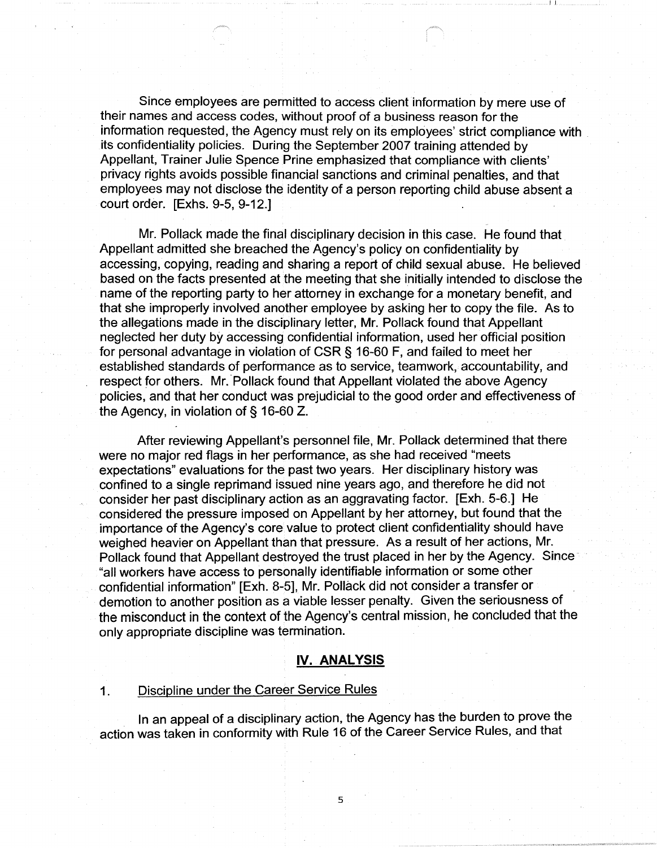Since employees are permitted to access client information by mere use of their names and access codes, without proof of a business reason for the information requested, the Agency must rely on its employees' strict compliance with its confidentiality policies. During the September 2007 training attended by Appellant, Trainer Julie Spence Prine emphasized that compliance with clients' privacy rights avoids possible financial sanctions and criminal penalties, and that employees may not disclose the identity of a person reporting child abuse absent a court order. [Exhs. 9-5, 9-12.]

I I

Mr. Pollack made the final disciplinary decision in this case. He found that Appellant admitted she breached the Agency's policy on confidentiality by accessing, copying, reading and sharing a report of child sexual abuse. He believed based on the facts presented at the meeting that she initially intended to disclose the name of the reporting party to her attorney in exchange for a monetary benefit, and that she improperly involved another employee by asking her to copy the file. As to the allegations made in the disciplinary letter, Mr. Pollack found that Appellant neglected her duty by accessing confidential information, used her official position for personal advantage in violation of CSR§ 16-60 F, and failed to meet her established standards of performance as to service, teamwork, accountability, and respect for others. Mr. Pollack found that Appellant violated the above Agency policies, and that her conduct was prejudicial to the good order and effectiveness of the Agency, in violation of§ 16-60 Z.

After reviewing Appellant's personnel file, Mr. Pollack determined that there were no major red flags in her performance, as she had received "meets expectations" evaluations for the past two years. Her disciplinary history was confined to a single reprimand issued nine years ago, and therefore he did not consider her past disciplinary action as an aggravating factor. [Exh. 5-6.] He considered the pressure imposed on Appellant by her attorney, but found that the importance of the Agency's core value to protect client confidentiality should have weighed heavier on Appellant than that pressure. As a result of her actions, Mr. Pollack found that Appellant destroyed the trust placed in her by the Agency. Since "all workers have access to personally identifiable information or some other confidential information" [Exh. 8-5], Mr. Pollack did not consider a transfer or demotion to another position as a viable lesser penalty. Given the seriousness of the misconduct in the context of the Agency's central mission, he concluded that the only appropriate discipline was termination.

## **IV. ANALYSIS**

## 1. Discipline under the Career Service Rules

In an appeal of a disciplinary action, the Agency has the burden to prove the action was taken in conformity with Rule 16 of the Career Service Rules, and that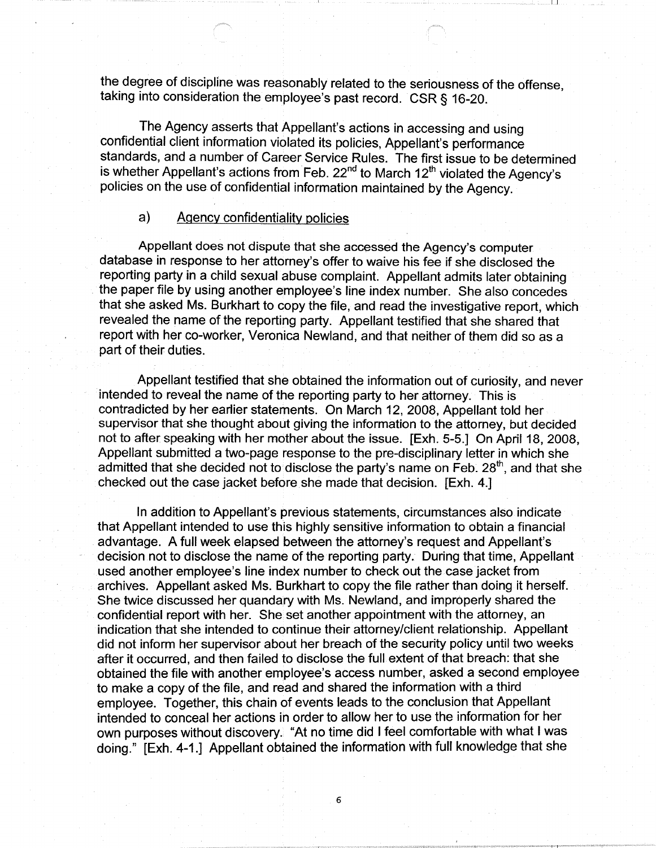the degree of discipline was reasonably related to the seriousness of the offense, taking into consideration the employee's past record. CSR§ 16-20.

 $\Box$ 

The Agency asserts that Appellant's actions in accessing and using confidential client information violated its policies, Appellant's performance standards, and a number of Career Service Rules. The first issue to be determined is whether Appellant's actions from Feb.  $22<sup>nd</sup>$  to March  $12<sup>th</sup>$  violated the Agency's policies on the use of confidential information maintained by the Agency.

## a) Agency confidentiality policies

Appellant does not dispute that she accessed the Agency's computer database in response to her attorney's offer to waive his fee if she disclosed the reporting party in a child sexual abuse complaint. Appellant admits later obtaining the paper file by using another employee's line index number. She also concedes that she asked Ms. Burkhart to copy the file, and read the investigative report, which revealed the name of the reporting party. Appellant testified that she shared that report with her co-worker, Veronica Newland, and that neither of them did so as a part of their duties.

Appellant testified that she obtained the information out of curiosity, and never intended to reveal the name of the reporting party to her attorney. This is contradicted by her earlier statements. On March 12, 2008, Appellant told her supervisor that she thought about giving the information to the attorney, but decided not to after speaking with her mother about the issue. [Exh. 5-5.] On April 18, 2008, Appellant submitted a two-page response to the pre-disciplinary letter in which she admitted that she decided not to disclose the party's name on Feb.  $28<sup>th</sup>$ , and that she checked out the case jacket before she made that decision. [Exh. 4.]

In addition to Appellant's previous statements, circumstances also indicate that Appellant intended to use this highly sensitive information to obtain a financial advantage. A full week elapsed between the attorney's request and Appellant's decision not to disclose the name of the reporting party. During that time, Appellant used another employee's line index number to check out the case jacket from archives. Appellant asked Ms. Burkhart to copy the file rather than doing it herself. She twice discussed her quandary with Ms. Newland, and improperly shared the confidential report with her. She set another appointment with the attorney, an indication that she intended to continue their attorney/client relationship. Appellant did not inform her supervisor about her breach of the security policy until two weeks after it occurred, and then failed to disclose the full extent of that breach: that she obtained the file with another employee's access number, asked a second employee to make a copy of the file, and read and shared the information with a third employee. Together, this chain of events leads to the conclusion that Appellant intended to conceal her actions in order to allow her to use the information for her own purposes without discovery. "At no time did I feel comfortable with what I was doing." [Exh. 4-1.] Appellant obtained the information with full knowledge that she

6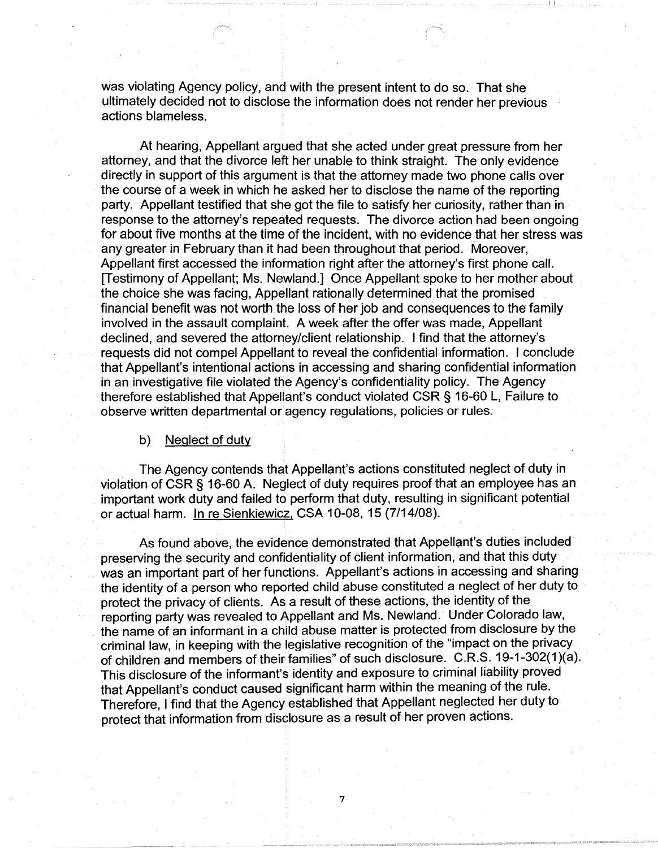was violating Agency policy, and with the present intent to do so. That she ultimately decided not to disclose the information does not render her previous actions blameless.

 $L_{\rm b}$ 

At hearing, Appellant argued that she acted under great pressure from her attorney, and that the divorce left her unable to think straight. The only evidence directly in support of this argument is that the attorney made two phone calls over the course of a week in which he asked her to disclose the name of the reporting party. Appellant testified that she got the file to satisfy her curiosity, rather than in response to the attorney's repeated requests. The divorce action had been ongoing for about five months at the time of the incident, with no evidence that her stress was any greater in February than it had been throughout that period. Moreover, Appellant first accessed the information right after the attorney's first phone call. [Testimony of Appellant; Ms. Newland.] Once Appellant spoke to her mother about the choice she was facing, Appellant rationally determined that the promised financial benefit was not worth the loss of her job and consequences to the family involved in the assault complaint. A week after the offer was made, Appellant declined, and severed the attorney/client relationship. I find that the attorney's requests did not compel Appellant to reveal the confidential information. I conclude that Appellant's intentional actions in accessing and sharing confidential information in an investigative file violated the Agency's confidentiality policy. The Agency therefore established that Appellant's conduct violated CSR § 16-60 L, Failure to observe written departmental or agency regulations, policies or rules.

b) Neglect of duty

The Agency contends that Appellant's actions constituted neglect of duty in violation of CSR § 16-60 A. Neglect of duty requires proof that an employee has an important work duty and failed to perform that duty, resulting in significant potential or actual harm. In re Sienkiewicz, CSA 10-08, 15 (7/14/08).

As found above, the evidence demonstrated that Appellant's duties included preserving the security and confidentiality of client information, and that this duty was an important part of her functions. Appellant's actions in accessing and sharing the identity of a person who reported child abuse constituted a neglect of her duty to protect the privacy of clients. As a result of these actions, the identity of the reporting party was revealed to Appellant and Ms. Newland. Under Colorado law, the name of an informant in a child abuse matter is protected from disclosure by the criminal law, in keeping with the legislative recognition of the "impact on the privacy of children and members of their families" of such disclosure. C.R.S. 19-1-302(1 )(a). This disclosure of the informant's identity and exposure to criminal liability proved that Appellant's conduct caused significant harm within the meaning of the rule. Therefore, I find that the Agency established that Appellant neglected her duty to protect that information from disclosure as a result of her proven actions.

7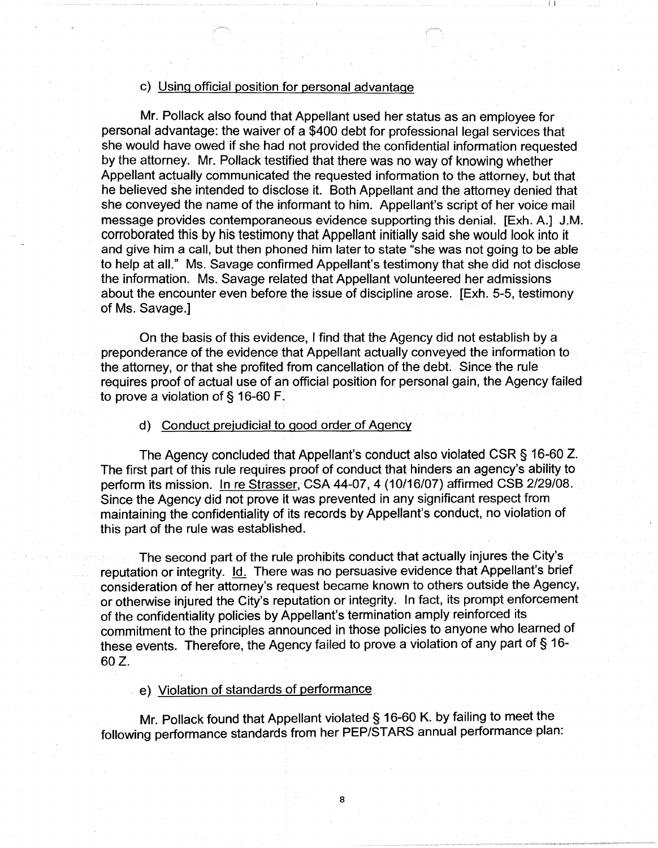# c) Using official position for personal advantage

Mr. Pollack also found that Appellant used her status as an employee for personal advantage: the waiver of a \$400 debt for professional legal services that she would have owed if she had not provided the confidential information requested by the attorney. Mr. Pollack testified that there was no way of knowing whether Appellant actually communicated the requested information to the attorney, but that he believed she intended to disclose it. Both Appellant and the attorney denied that she conveyed the name of the informant to him. Appellant's script of her voice mail message provides contemporaneous evidence supporting this denial. [Exh. A.] J.M. corroborated this by his testimony that Appellant initially said she would look into it and give him a call, but then phoned him later to state "she was not going to be able to help at all." Ms. Savage confirmed Appellant's testimony that she did not disclose the information. Ms. Savage related that Appellant volunteered her admissions about the encounter even before the issue of discipline arose. [Exh. 5-5, testimony of Ms. Savage.1

 $\Gamma$ 

On the basis of this evidence, I find that the Agency did not establish by a preponderance of the evidence that Appellant actually conveyed the information to the attorney, or that she profited from cancellation of the debt. Since the rule requires proof of actual use of an official position for personal gain, the Agency failed to prove a violation of § 16-60 F.

d) Conduct prejudicial to good order of Agency

The Agency concluded that Appellant's conduct also violated CSR § 16-60 Z. The first part of this rule requires proof of conduct that hinders an agency's ability to perform its mission. In re Strasser, CSA 44-07, 4 (10/16/07) affirmed CSB 2/29/08. Since the Agency did not prove it was prevented in any significant respect from maintaining the confidentiality of its records by Appellant's conduct, no violation of this part of the rule was established.

The second part of the rule prohibits conduct that actually injures the City's reputation or integrity. Id. There was no persuasive evidence that Appellant's brief consideration of her attorney's request became known to others outside the Agency, or otherwise injured the City's reputation or integrity. In fact, its prompt enforcement of the confidentiality policies by Appellant's termination amply reinforced its commitment to the principles announced in those policies to anyone who learned of these events. Therefore, the Agency failed to prove a violation of any part of § 16- 60 Z.

e) Violation of standards of performance

Mr. Pollack found that Appellant violated § 16-60 K. by failing to meet the following performance standards from her PEP/STARS annual performance plan: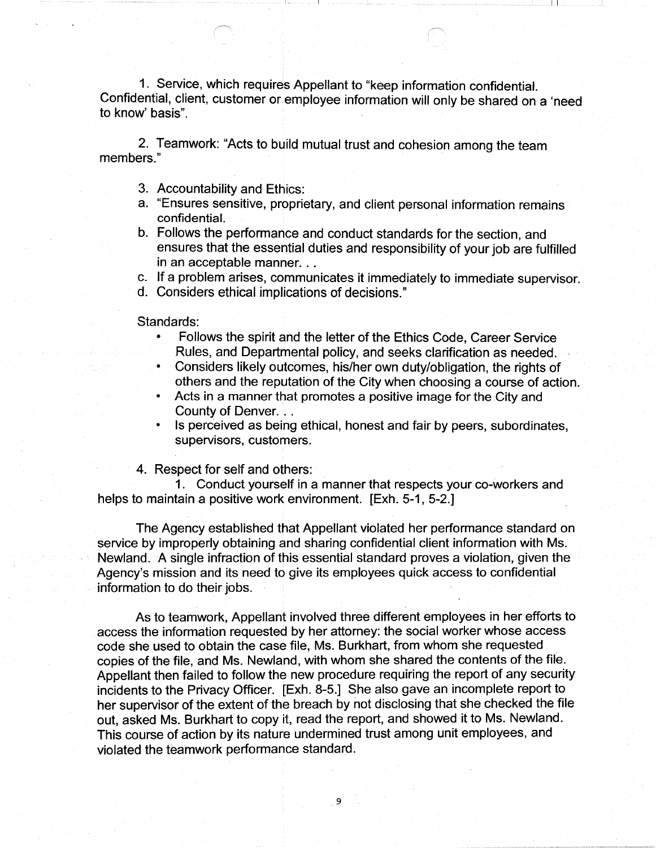1. Service, which requires Appellant to "keep information confidential. Confidential, client, customer or employee information will only be shared on a 'need to know' basis".

 $\perp$ 

2. Teamwork: "Acts to build mutual trust and cohesion among the team members."

- 3. Accountability and Ethics:
- a. "Ensures sensitive, proprietary, and client personal information remains confidential.
- b. Follows the performance and conduct standards for the section, and ensures that the essential duties and responsibility of your job are fulfilled in an acceptable manner...
- c. If a problem arises, communicates it immediately to immediate supervisor.
- d. Considers ethical implications of decisions."

Standards:

- Follows the spirit and the letter of the Ethics Code, Career Service Rules, and Departmental policy, and seeks clarification as needed.
- Considers likely outcomes, his/her own duty/obligation, the rights of
- others and the reputation of the City when choosing a course of action.
- Acts in a manner that promotes a positive image for the City and County of Denver.
- Is perceived as being ethical, honest and fair by peers, subordinates, supervisors, customers.

4. Respect for self and others:

1 . Conduct yourself in a manner that respects your co-workers and helps to maintain a positive work environment. [Exh. 5-1, 5-2.]

The Agency established that Appellant violated her performance standard on service by improperly obtaining and sharing confidential client information with Ms. Newland. A single infraction of this essential standard proves a violation, given the Agency's mission and its need to give its employees quick access to confidential information to do their jobs.

As to teamwork, Appellant involved three different employees in her efforts to access the information requested by her attorney: the social worker whose access code she used to obtain the case file, Ms. Burkhart, from whom she requested copies of the file, and Ms. Newland, with whom she shared the contents of the file. Appellant then failed to follow the new procedure requiring the report of any security incidents to the Privacy Officer. [Exh. 8-5.] She also gave an incomplete report to her supervisor of the extent of the breach by not disclosing that she checked the file out, asked Ms. Burkhart to copy it, read the report, and showed it to Ms. Newland. This course of action by its nature undermined trust among unit employees, and violated the teamwork performance standard.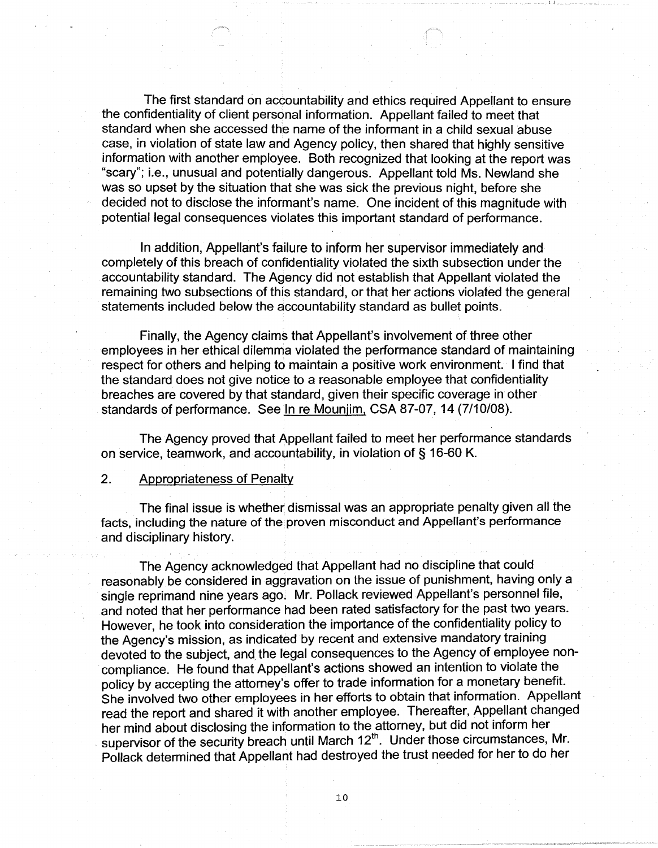The first standard on accountability and ethics required Appellant to ensure the confidentiality of client personal information. Appellant failed to meet that standard when she accessed the name of the informant in a child sexual abuse case, in violation of state law and Agency policy, then shared that highly sensitive information with another employee. Both recognized that looking at the report was "scary"; i.e., unusual and potentially dangerous. Appellant told Ms. Newland she was so upset by the situation that she was sick the previous night, before she decided not to disclose the informant's name. One incident of this magnitude with potential legal consequences violates this important standard of performance.

 $\mathbf{I}$  and  $\mathbf{I}$ 

In addition, Appellant's failure to inform her supervisor immediately and completely of this breach of confidentiality violated the sixth subsection under the accountability standard. The Agency did not establish that Appellant violated the remaining two subsections of this standard, or that her actions violated the general statements included below the accountability standard as bullet points.

Finally, the Agency claims that Appellant's involvement of three other employees in her ethical dilemma violated the performance standard of maintaining respect for others and helping to maintain a positive work environment. I find that the standard does not give notice to a reasonable employee that confidentiality breaches are covered by that standard, given their specific coverage in other standards of performance. See In re Mounjim, CSA 87-07, 14 (7/10/08).

The Agency proved that Appellant failed to meet her performance standards on service, teamwork, and accountability, in violation of§ 16-60 K.

#### 2. Appropriateness of Penalty

The final issue is whether dismissal was an appropriate penalty given all the facts, including the nature of the proven misconduct and Appellant's performance and disciplinary history.

The Agency acknowledged that Appellant had no discipline that could reasonably be considered in aggravation on the issue of punishment, having only a single reprimand nine years ago. Mr. Pollack reviewed Appellant's personnel file, and noted that her performance had been rated satisfactory for the past two years. However, he took into consideration the importance of the confidentiality policy to the Agency's mission, as indicated by recent and extensive mandatory training devoted to the subject, and the legal consequences to the Agency of employee noncompliance. He found that Appellant's actions showed an intention to violate the policy by accepting the attorney's offer to trade information for a monetary benefit. She involved two other employees in her efforts to obtain that information. Appellant read the report and shared it with another employee. Thereafter, Appellant changed her mind about disclosing the information to the attorney, but did not inform her supervisor of the security breach until March 12<sup>th</sup>. Under those circumstances, Mr. Pollack determined that Appellant had destroyed the trust needed for her to do her